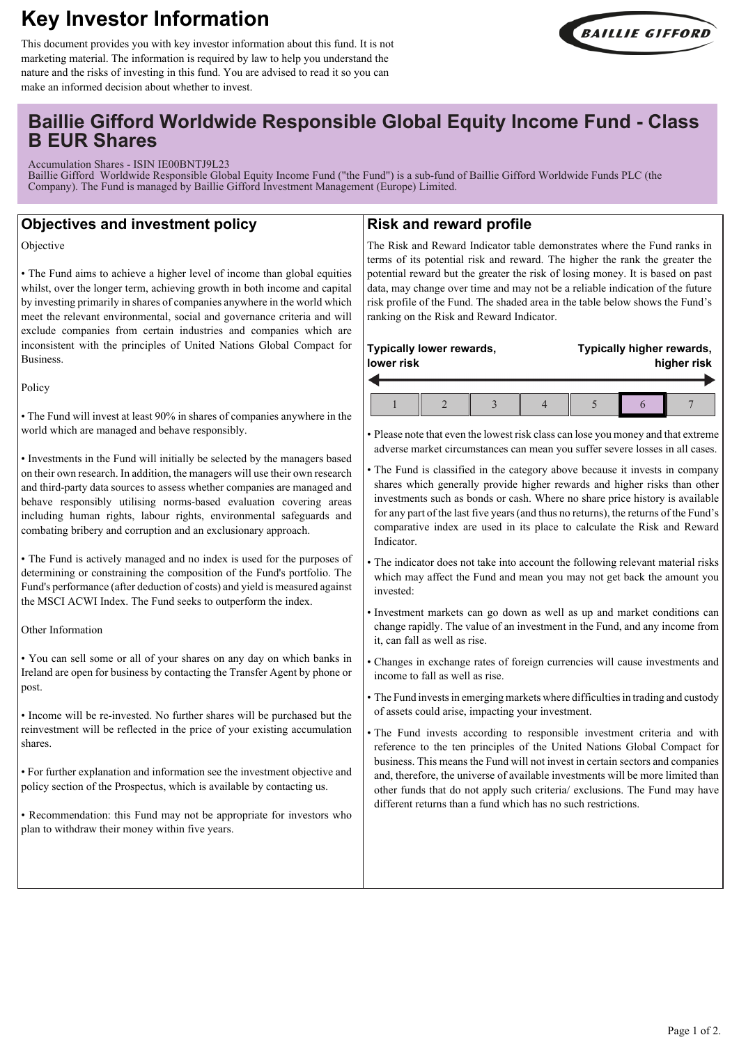# **Key Investor Information**



This document provides you with key investor information about this fund. It is not marketing material. The information is required by law to help you understand the nature and the risks of investing in this fund. You are advised to read it so you can make an informed decision about whether to invest.

## **Baillie Gifford Worldwide Responsible Global Equity Income Fund - Class B EUR Shares**

Accumulation Shares - ISIN IE00BNTJ9L23

Baillie Gifford Worldwide Responsible Global Equity Income Fund ("the Fund") is a sub-fund of Baillie Gifford Worldwide Funds PLC (the Company). The Fund is managed by Baillie Gifford Investment Management (Europe) Limited.

## **Objectives and investment policy**

Objective

• The Fund aims to achieve a higher level of income than global equities whilst, over the longer term, achieving growth in both income and capital by investing primarily in shares of companies anywhere in the world which meet the relevant environmental, social and governance criteria and will exclude companies from certain industries and companies which are inconsistent with the principles of United Nations Global Compact for Business.

Policy

• The Fund will invest at least 90% in shares of companies anywhere in the world which are managed and behave responsibly.

• Investments in the Fund will initially be selected by the managers based on their own research. In addition, the managers will use their own research and third-party data sources to assess whether companies are managed and behave responsibly utilising norms-based evaluation covering areas including human rights, labour rights, environmental safeguards and combating bribery and corruption and an exclusionary approach.

• The Fund is actively managed and no index is used for the purposes of determining or constraining the composition of the Fund's portfolio. The Fund's performance (after deduction of costs) and yield is measured against the MSCI ACWI Index. The Fund seeks to outperform the index.

Other Information

• You can sell some or all of your shares on any day on which banks in Ireland are open for business by contacting the Transfer Agent by phone or post.

• Income will be re-invested. No further shares will be purchased but the reinvestment will be reflected in the price of your existing accumulation shares.

• For further explanation and information see the investment objective and policy section of the Prospectus, which is available by contacting us.

• Recommendation: this Fund may not be appropriate for investors who plan to withdraw their money within five years.

## **Risk and reward profile**

The Risk and Reward Indicator table demonstrates where the Fund ranks in terms of its potential risk and reward. The higher the rank the greater the potential reward but the greater the risk of losing money. It is based on past data, may change over time and may not be a reliable indication of the future risk profile of the Fund. The shaded area in the table below shows the Fund's ranking on the Risk and Reward Indicator.

| Typically lower rewards,<br>lower risk |  |  | Typically higher rewards,<br>higher risk |
|----------------------------------------|--|--|------------------------------------------|
|                                        |  |  |                                          |

• Please note that even the lowest risk class can lose you money and that extreme adverse market circumstances can mean you suffer severe losses in all cases.

- The Fund is classified in the category above because it invests in company shares which generally provide higher rewards and higher risks than other investments such as bonds or cash. Where no share price history is available for any part of the last five years (and thus no returns), the returns of the Fund's comparative index are used in its place to calculate the Risk and Reward Indicator.
- The indicator does not take into account the following relevant material risks which may affect the Fund and mean you may not get back the amount you invested:
- Investment markets can go down as well as up and market conditions can change rapidly. The value of an investment in the Fund, and any income from it, can fall as well as rise.
- Changes in exchange rates of foreign currencies will cause investments and income to fall as well as rise.
- The Fund invests in emerging markets where difficulties in trading and custody of assets could arise, impacting your investment.
- The Fund invests according to responsible investment criteria and with reference to the ten principles of the United Nations Global Compact for business. This means the Fund will not invest in certain sectors and companies and, therefore, the universe of available investments will be more limited than other funds that do not apply such criteria/ exclusions. The Fund may have different returns than a fund which has no such restrictions.